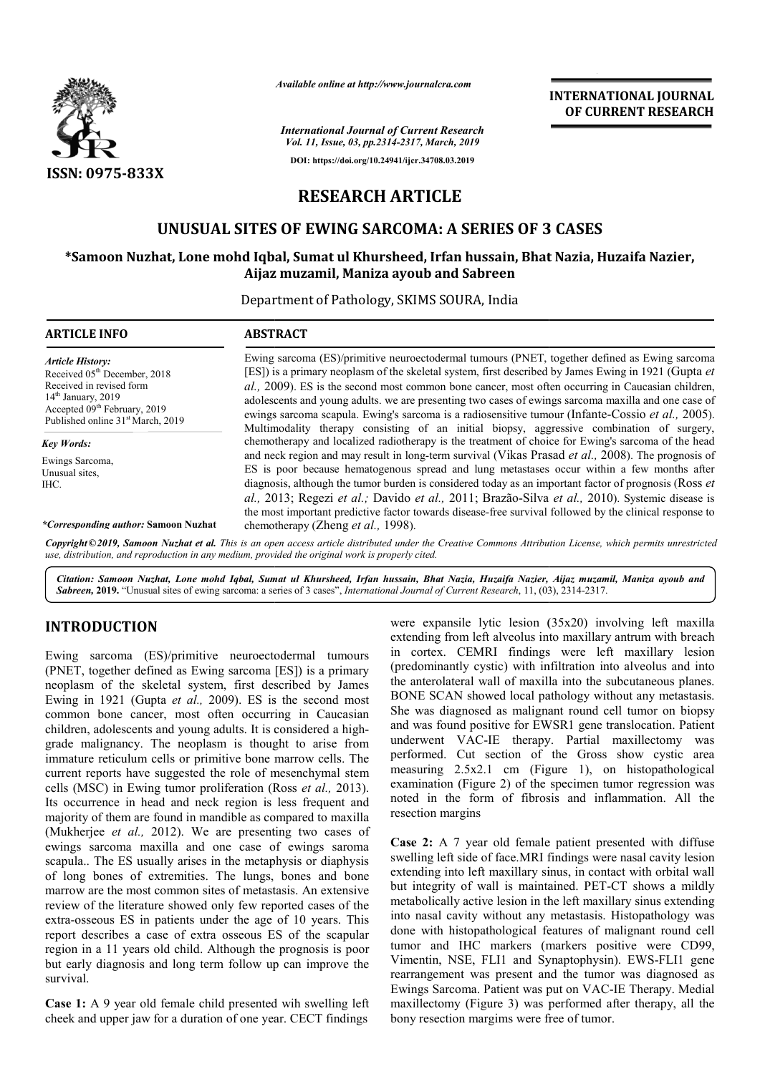

*Available online at http://www.journalcra.com*

*International Journal of Current Research Vol. 11, Issue, 03, pp.2314-2317, March, 2019* **DOI: https://doi.org/10.24941/ijcr.34708.03.2019**

## **INTERNATIONAL JOURNAL OF CURRENT RESEARCH**

# **RESEARCH ARTICLE**

# **UNUSUAL SITES OF EWING SARCOMA: A SERIES OF 3 CASES**

### $*$ Samoon Nuzhat, Lone mohd Iqbal, Sumat ul Khursheed, Irfan hussain, Bhat Nazia, Huzaifa Nazier, **Aijaz muzamil, Maniza ayoub and Sabreen**

Department of Pathology, SKIMS SOURA, India

| <b>ARTICLE INFO</b>                                                                                                                                                                                                  | <b>ABSTRACT</b>                                                                                                                                                                                                                                                                                                                                                                                                                                                                                                                                                                                                                                                                                                                                                                                                                                                                                                                                                                                                                                                                                                                                                                                                                                                                                          |
|----------------------------------------------------------------------------------------------------------------------------------------------------------------------------------------------------------------------|----------------------------------------------------------------------------------------------------------------------------------------------------------------------------------------------------------------------------------------------------------------------------------------------------------------------------------------------------------------------------------------------------------------------------------------------------------------------------------------------------------------------------------------------------------------------------------------------------------------------------------------------------------------------------------------------------------------------------------------------------------------------------------------------------------------------------------------------------------------------------------------------------------------------------------------------------------------------------------------------------------------------------------------------------------------------------------------------------------------------------------------------------------------------------------------------------------------------------------------------------------------------------------------------------------|
| <b>Article History:</b><br>Received 05 <sup>th</sup> December, 2018<br>Received in revised form<br>$14th$ January, 2019<br>Accepted 09 <sup>th</sup> February, 2019<br>Published online 31 <sup>st</sup> March, 2019 | Ewing sarcoma (ES)/primitive neuroectodermal tumours (PNET, together defined as Ewing sarcoma<br>[ES]) is a primary neoplasm of the skeletal system, first described by James Ewing in 1921 (Gupta et<br>al., 2009). ES is the second most common bone cancer, most often occurring in Caucasian children,<br>adolescents and young adults, we are presenting two cases of ewings sarcoma maxilla and one case of<br>ewings sarcoma scapula. Ewing's sarcoma is a radiosensitive tumour (Infante-Cossio et al., 2005).<br>Multimodality therapy consisting of an initial biopsy, aggressive combination of surgery,<br>chemotherapy and localized radiotherapy is the treatment of choice for Ewing's sarcoma of the head<br>and neck region and may result in long-term survival (Vikas Prasad et al., 2008). The prognosis of<br>ES is poor because hematogenous spread and lung metastases occur within a few months after<br>diagnosis, although the tumor burden is considered today as an important factor of prognosis (Ross <i>et</i><br>al., 2013; Regezi et al.; Davido et al., 2011; Brazão-Silva et al., 2010). Systemic disease is<br>the most important predictive factor towards disease-free survival followed by the clinical response to<br>chemotherapy (Zheng <i>et al.</i> , 1998). |
| Key Words:<br>Ewings Sarcoma,<br>Unusual sites,<br>IHC.<br><i>*Corresponding author:</i> Samoon Nuzhat                                                                                                               |                                                                                                                                                                                                                                                                                                                                                                                                                                                                                                                                                                                                                                                                                                                                                                                                                                                                                                                                                                                                                                                                                                                                                                                                                                                                                                          |

Copyright©2019, Samoon Nuzhat et al. This is an open access article distributed under the Creative Commons Attribution License, which permits unrestrictea *use, distribution, and reproduction in any medium, provided the original work is properly cited.*

Citation: Samoon Nuzhat, Lone mohd Iqbal, Sumat ul Khursheed, Irfan hussain, Bhat Nazia, Huzaifa Nazier, Aijaz muzamil, Maniza ayoub and **Sabreen, 2019.** "Unusual sites of ewing sarcoma: a series of 3 cases", *International Journal of Current Research*, 11, (03), 2314-2317.

## **INTRODUCTION**

Ewing sarcoma (ES)/primitive neuroectodermal tumours (PNET, together defined as Ewing sarcoma [ES]) is a primary neoplasm of the skeletal system, first described by James Ewing in 1921 (Gupta *et al.,* 2009). ES is the second most common bone cancer, most often occurring in Caucasian children, adolescents and young adults. It is considered a high grade malignancy. The neoplasm is thought to arise from immature reticulum cells or primitive bone marrow cells. The current reports have suggested the role of mesenchymal stem cells (MSC) in Ewing tumor proliferation (Ross *et al.*, 2013). Its occurrence in head and neck region is less frequent and majority of them are found in mandible as compared to maxilla (Mukherjee *et al.,* 2012). We are presenting two cases of ewings sarcoma maxilla and one case of ewings saroma scapula.. The ES usually arises in the metaphysis or diaphysis of long bones of extremities. The lungs, bones and bone marrow are the most common sites of metastasis. An extensive review of the literature showed only few reported cases of the extra-osseous ES in patients under the age of 10 years. This report describes a case of extra osseous ES of the scapular region in a 11 years old child. Although the prognosis is poor but early diagnosis and long term follow up can improve the survival. ). ES is the second most<br>occurring in Caucasian<br>Its. It is considered a highrity of them are found in mandible as compared to maxilla<br>cherjee *et al.*, 2012). We are presenting two cases of<br>gs sarcoma maxilla and one case of ewings saroma<br>ula.. The ES usually arises in the metaphysis or diaphysis

**Case 1:** A 9 year old female child presented wih swelling left cheek and upper jaw for a duration of one year. CECT findings

were expansile lytic lesion (35x20) involving left maxilla extending from left alveolus into maxillary antrum with breach in cortex. CEMRI findings were left maxillary lesion (predominantly cystic) with infiltration the anterolateral wall of maxilla into the subcutaneous planes. the anterolateral wall of maxilla into the subcutaneous planes.<br>BONE SCAN showed local pathology without any metastasis. She was diagnosed as malignant round cell tumor on biopsy and was found positive for EWSR1 gene translocation. Patient underwent VAC-IE therapy. Partial maxillectomy was performed. Cut section of the Gross show cystic area measuring 2.5x2.1 cm (Figure Figure 1), on histopathological examination (Figure 2) of the specimen tumor regression was examination (Figure 2) of the specimen tumor regression was noted in the form of fibrosis and inflammation. All the resection margins expansile lytic lesion (35x20) involving left maxilla<br>ling from left alveolus into maxillary antrum with breach<br>rtex. CEMRI findings were left maxillary lesion<br>minantly cystic) with infiltration into alveolus and into

**Case 2:** A 7 year old female patient presented with diffuse swelling left side of face.MRI findings were nasal cavity lesion extending into left maxillary sinus, in contact with orbital wall but integrity of wall is maintained. PET-CT shows a mildly metabolically active lesion in the left maxillary sinus extending metabolically active lesion in the left maxillary sinus extending<br>into nasal cavity without any metastasis. Histopathology was done with histopathological features of malignant round cell done with histopathological features of malignant round cell tumor and IHC markers (markers positive were CD99, Vimentin, NSE, FLI1 and Synaptophysin). EWS-FLI1 gene rearrangement was present and the tumor was diagnosed as rearrangement was present and the tumor was diagnosed as Ewings Sarcoma. Patient was put on VAC-IE Therapy. Medial maxillectomy (Figure 3) was performed after therapy, all the maxillectomy (Figure 3) was performed as<br>bony resection margims were free of tumor. old female patient presented with diffuse<br>face.MRI findings were nasal cavity lesion<br>naxillary sinus, in contact with orbital wall<br>l is maintained. PET-CT shows a mildly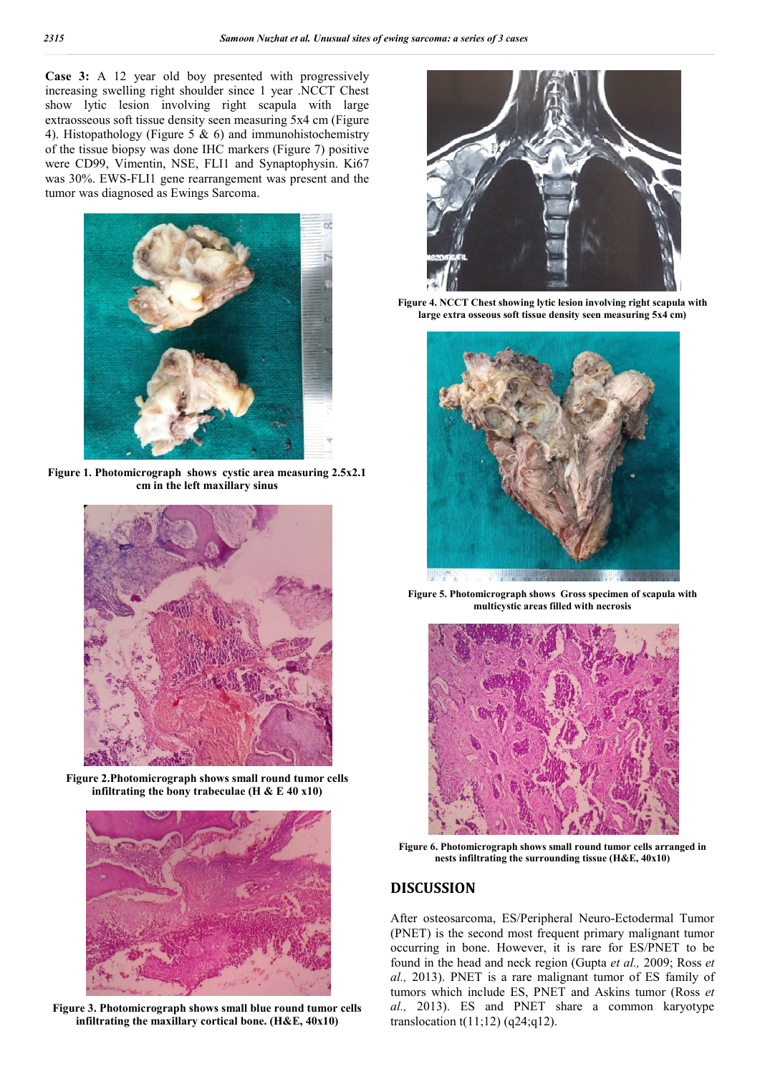**Case 3:** A 12 year old boy presented with progressively increasing swelling right shoulder since 1 year .NCCT Chest show lytic lesion involving right scapula with large extraosseous soft tissue density seen measuring 5x4 cm (Figure 4). Histopathology (Figure 5  $\&$  6) and immunohistochemistry of the tissue biopsy was done IHC markers (Figure 7) positive were CD99, Vimentin, NSE, FLI1 and Synaptophysin. Ki67 was 30%. EWS-FLI1 gene rearrangement was present and the tumor was diagnosed as Ewings Sarcoma.



**Figure 1. Photomicrograph shows cystic area measuring 2.5x2.1 cm in the left maxillary sinus**



**Figure 2.Photomicrograph shows small round tumor cells infiltrating the bony trabeculae (H & E 40 x10)**



**Figure 3. Photomicrograph shows small blue round tumor cells infiltrating the maxillary cortical bone. (H&E, 40x10)**



**Figure 4. NCCT Chest showing lytic lesion involving right scapula with large extra osseous soft tissue density seen measuring 5x4 cm)**



**Figure 5. Photomicrograph shows Gross specimen of scapula with multicystic areas filled with necrosis**



**Figure 6. Photomicrograph shows small round tumor cells arranged in nests infiltrating the surrounding tissue (H&E, 40x10)**

### **DISCUSSION**

After osteosarcoma, ES/Peripheral Neuro-Ectodermal Tumor (PNET) is the second most frequent primary malignant tumor occurring in bone. However, it is rare for ES/PNET to be found in the head and neck region (Gupta *et al.,* 2009; Ross *et al.,* 2013). PNET is a rare malignant tumor of ES family of tumors which include ES, PNET and Askins tumor (Ross *et al.,* 2013). ES and PNET share a common karyotype translocation  $t(11;12)$  (q24;q12).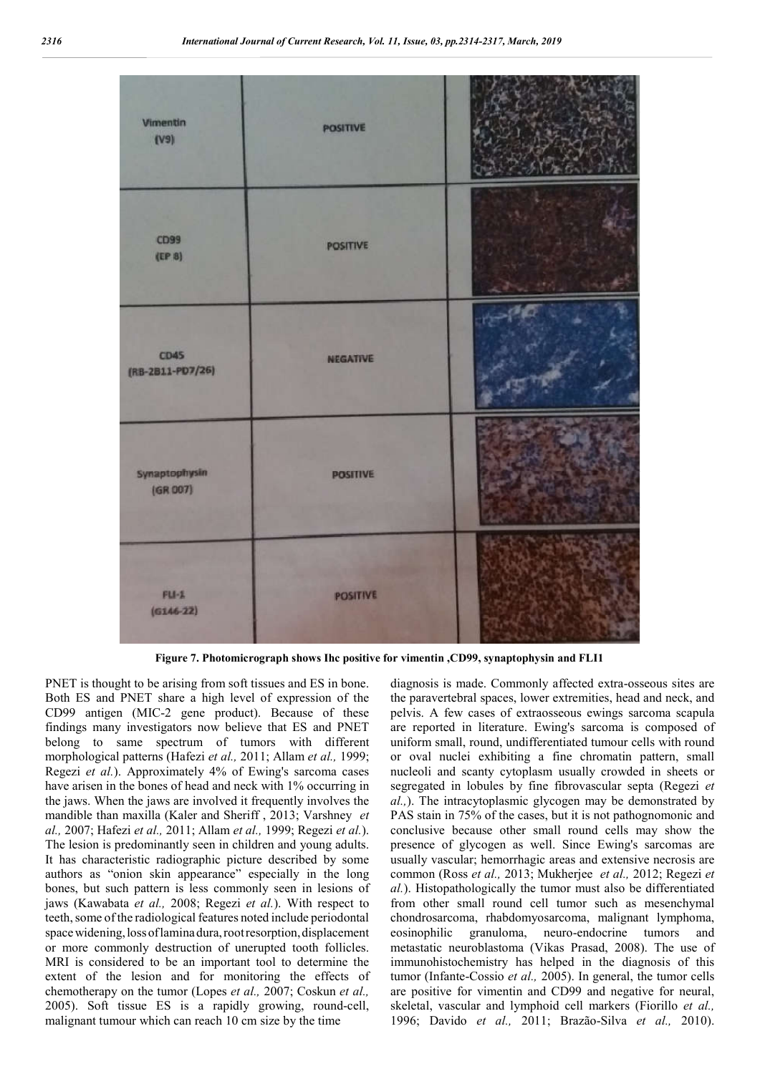

**Figure 7. Photomicrograph shows Ihc positive for vimentin ,CD99, synaptophysin and FLI1**

PNET is thought to be arising from soft tissues and ES in bone. Both ES and PNET share a high level of expression of the CD99 antigen (MIC-2 gene product). Because of these findings many investigators now believe that ES and PNET belong to same spectrum of tumors with different morphological patterns (Hafezi *et al.,* 2011; Allam *et al.,* 1999; Regezi *et al.*). Approximately 4% of Ewing's sarcoma cases have arisen in the bones of head and neck with 1% occurring in the jaws. When the jaws are involved it frequently involves the mandible than maxilla (Kaler and Sheriff , 2013; Varshney *et al.,* 2007; Hafezi *et al.,* 2011; Allam *et al.,* 1999; Regezi *et al.*). The lesion is predominantly seen in children and young adults. It has characteristic radiographic picture described by some authors as "onion skin appearance" especially in the long bones, but such pattern is less commonly seen in lesions of jaws (Kawabata *et al.,* 2008; Regezi *et al.*). With respect to teeth, some of the radiological features noted include periodontal space widening, loss of lamina dura, root resorption, displacement or more commonly destruction of unerupted tooth follicles. MRI is considered to be an important tool to determine the extent of the lesion and for monitoring the effects of chemotherapy on the tumor (Lopes *et al.,* 2007; Coskun *et al.,*  2005). Soft tissue ES is a rapidly growing, round-cell, malignant tumour which can reach 10 cm size by the time

diagnosis is made. Commonly affected extra-osseous sites are the paravertebral spaces, lower extremities, head and neck, and pelvis. A few cases of extraosseous ewings sarcoma scapula are reported in literature. Ewing's sarcoma is composed of uniform small, round, undifferentiated tumour cells with round or oval nuclei exhibiting a fine chromatin pattern, small nucleoli and scanty cytoplasm usually crowded in sheets or segregated in lobules by fine fibrovascular septa (Regezi *et al.,*). The intracytoplasmic glycogen may be demonstrated by PAS stain in 75% of the cases, but it is not pathognomonic and conclusive because other small round cells may show the presence of glycogen as well. Since Ewing's sarcomas are usually vascular; hemorrhagic areas and extensive necrosis are common (Ross *et al.,* 2013; Mukherjee *et al.,* 2012; Regezi *et al.*). Histopathologically the tumor must also be differentiated from other small round cell tumor such as mesenchymal chondrosarcoma, rhabdomyosarcoma, malignant lymphoma, eosinophilic granuloma, neuro-endocrine tumors and metastatic neuroblastoma (Vikas Prasad, 2008). The use of immunohistochemistry has helped in the diagnosis of this tumor (Infante-Cossio *et al.,* 2005). In general, the tumor cells are positive for vimentin and CD99 and negative for neural, skeletal, vascular and lymphoid cell markers (Fiorillo *et al.,*  1996; Davido *et al.,* 2011; Brazão-Silva *et al.,* 2010).